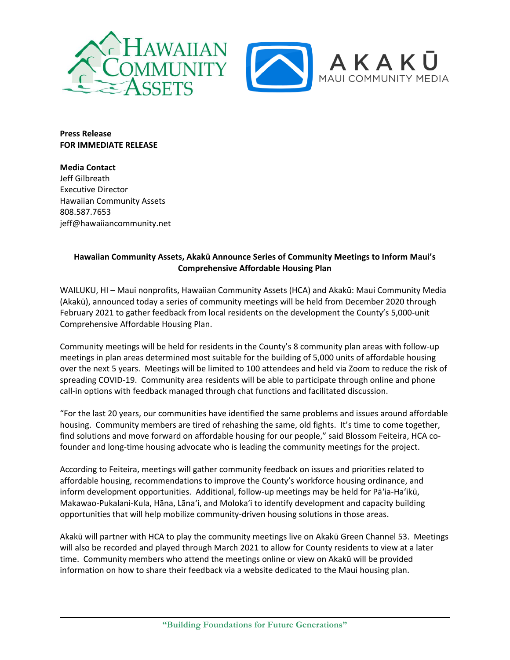

**Press Release FOR IMMEDIATE RELEASE**

**Media Contact** Jeff Gilbreath Executive Director Hawaiian Community Assets 808.587.7653 jeff@hawaiiancommunity.net

## **Hawaiian Community Assets, Akakū Announce Series of Community Meetings to Inform Maui's Comprehensive Affordable Housing Plan**

WAILUKU, HI – Maui nonprofits, Hawaiian Community Assets (HCA) and Akakū: Maui Community Media (Akakū), announced today a series of community meetings will be held from December 2020 through February 2021 to gather feedback from local residents on the development the County's 5,000-unit Comprehensive Affordable Housing Plan.

Community meetings will be held for residents in the County's 8 community plan areas with follow-up meetings in plan areas determined most suitable for the building of 5,000 units of affordable housing over the next 5 years. Meetings will be limited to 100 attendees and held via Zoom to reduce the risk of spreading COVID-19. Community area residents will be able to participate through online and phone call-in options with feedback managed through chat functions and facilitated discussion.

"For the last 20 years, our communities have identified the same problems and issues around affordable housing. Community members are tired of rehashing the same, old fights. It's time to come together, find solutions and move forward on affordable housing for our people," said Blossom Feiteira, HCA cofounder and long-time housing advocate who is leading the community meetings for the project.

According to Feiteira, meetings will gather community feedback on issues and priorities related to affordable housing, recommendations to improve the County's workforce housing ordinance, and inform development opportunities. Additional, follow-up meetings may be held for Pāʻia-Haʻikū, Makawao-Pukalani-Kula, Hāna, Lānaʻi, and Molokaʻi to identify development and capacity building opportunities that will help mobilize community-driven housing solutions in those areas.

Akakū will partner with HCA to play the community meetings live on Akakū Green Channel 53. Meetings will also be recorded and played through March 2021 to allow for County residents to view at a later time. Community members who attend the meetings online or view on Akakū will be provided information on how to share their feedback via a website dedicated to the Maui housing plan.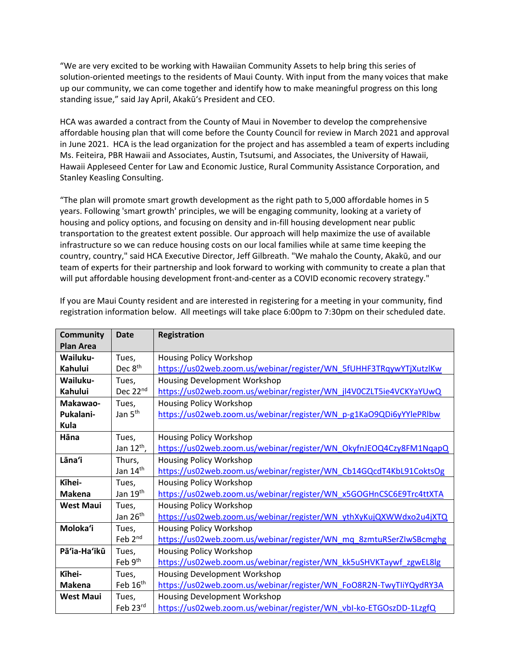"We are very excited to be working with Hawaiian Community Assets to help bring this series of solution-oriented meetings to the residents of Maui County. With input from the many voices that make up our community, we can come together and identify how to make meaningful progress on this long standing issue," said Jay April, Akakūʻs President and CEO.

HCA was awarded a contract from the County of Maui in November to develop the comprehensive affordable housing plan that will come before the County Council for review in March 2021 and approval in June 2021. HCA is the lead organization for the project and has assembled a team of experts including Ms. Feiteira, PBR Hawaii and Associates, Austin, Tsutsumi, and Associates, the University of Hawaii, Hawaii Appleseed Center for Law and Economic Justice, Rural Community Assistance Corporation, and Stanley Keasling Consulting.

"The plan will promote smart growth development as the right path to 5,000 affordable homes in 5 years. Following 'smart growth' principles, we will be engaging community, looking at a variety of housing and policy options, and focusing on density and in-fill housing development near public transportation to the greatest extent possible. Our approach will help maximize the use of available infrastructure so we can reduce housing costs on our local families while at same time keeping the country, country," said HCA Executive Director, Jeff Gilbreath. "We mahalo the County, Akakū, and our team of experts for their partnership and look forward to working with community to create a plan that will put affordable housing development front-and-center as a COVID economic recovery strategy."

| <b>Community</b> | <b>Date</b>            | Registration                                                       |
|------------------|------------------------|--------------------------------------------------------------------|
| <b>Plan Area</b> |                        |                                                                    |
| Wailuku-         | Tues,                  | Housing Policy Workshop                                            |
| Kahului          | Dec 8 <sup>th</sup>    | https://us02web.zoom.us/webinar/register/WN_5fUHHF3TRqywYTjXutzlKw |
| Wailuku-         | Tues,                  | Housing Development Workshop                                       |
| <b>Kahului</b>   | Dec 22nd               | https://us02web.zoom.us/webinar/register/WN_jl4V0CZLT5ie4VCKYaYUwQ |
| Makawao-         | Tues,                  | Housing Policy Workshop                                            |
| Pukalani-        | Jan 5 <sup>th</sup>    | https://us02web.zoom.us/webinar/register/WN_p-g1KaO9QDi6yYYlePRlbw |
| Kula             |                        |                                                                    |
| Hāna             | Tues,                  | Housing Policy Workshop                                            |
|                  | Jan $12^{\text{th}}$ , | https://us02web.zoom.us/webinar/register/WN_OkyfnJEOQ4Czy8FM1NqapQ |
| Lāna'i           | Thurs,                 | <b>Housing Policy Workshop</b>                                     |
|                  | Jan 14 <sup>th</sup>   | https://us02web.zoom.us/webinar/register/WN_Cb14GQcdT4KbL91CoktsOg |
| Kīhei-           | Tues,                  | Housing Policy Workshop                                            |
| <b>Makena</b>    | Jan 19 <sup>th</sup>   | https://us02web.zoom.us/webinar/register/WN_x5GOGHnCSC6E9Trc4ttXTA |
| <b>West Maui</b> | Tues,                  | Housing Policy Workshop                                            |
|                  | Jan 26 <sup>th</sup>   | https://us02web.zoom.us/webinar/register/WN_ythXyKujQXWWdxo2u4jXTQ |
| Moloka'i         | Tues,                  | Housing Policy Workshop                                            |
|                  | Feb 2 <sup>nd</sup>    | https://us02web.zoom.us/webinar/register/WN mq 8zmtuRSerZIwSBcmghg |
| Pā'ia-Ha'ikū     | Tues,                  | Housing Policy Workshop                                            |
|                  | Feb 9 <sup>th</sup>    | https://us02web.zoom.us/webinar/register/WN_kk5uSHVKTaywf_zgwEL8lg |
| Kīhei-           | Tues,                  | Housing Development Workshop                                       |
| <b>Makena</b>    | Feb 16 <sup>th</sup>   | https://us02web.zoom.us/webinar/register/WN_FoO8R2N-TwyTliYQydRY3A |
| <b>West Maui</b> | Tues,                  | <b>Housing Development Workshop</b>                                |
|                  | Feb 23rd               | https://us02web.zoom.us/webinar/register/WN_vbI-ko-ETGOszDD-1LzgfQ |

If you are Maui County resident and are interested in registering for a meeting in your community, find registration information below. All meetings will take place 6:00pm to 7:30pm on their scheduled date.